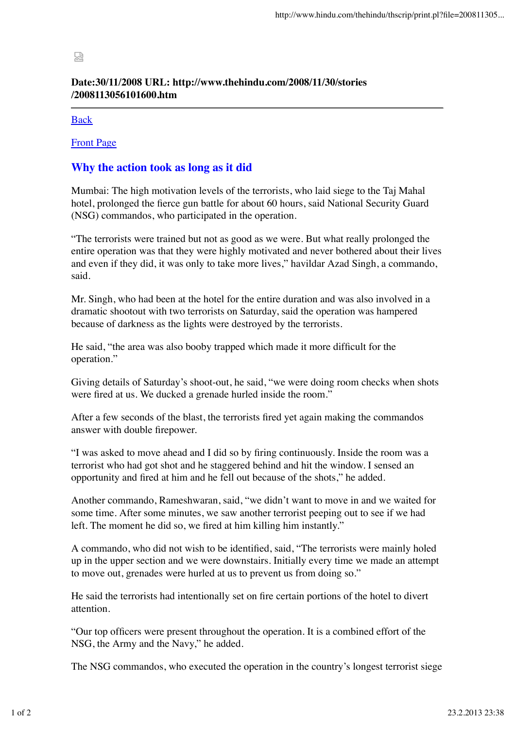## 霒

## **Date:30/11/2008 URL: http://www.thehindu.com/2008/11/30/stories /2008113056101600.htm**

## Back

Front Page

## **Why the action took as long as it did**

Mumbai: The high motivation levels of the terrorists, who laid siege to the Taj Mahal hotel, prolonged the fierce gun battle for about 60 hours, said National Security Guard (NSG) commandos, who participated in the operation.

"The terrorists were trained but not as good as we were. But what really prolonged the entire operation was that they were highly motivated and never bothered about their lives and even if they did, it was only to take more lives," havildar Azad Singh, a commando, said.

Mr. Singh, who had been at the hotel for the entire duration and was also involved in a dramatic shootout with two terrorists on Saturday, said the operation was hampered because of darkness as the lights were destroyed by the terrorists.

He said, "the area was also booby trapped which made it more difficult for the operation."

Giving details of Saturday's shoot-out, he said, "we were doing room checks when shots were fired at us. We ducked a grenade hurled inside the room."

After a few seconds of the blast, the terrorists fired yet again making the commandos answer with double firepower.

"I was asked to move ahead and I did so by firing continuously. Inside the room was a terrorist who had got shot and he staggered behind and hit the window. I sensed an opportunity and fired at him and he fell out because of the shots," he added.

Another commando, Rameshwaran, said, "we didn't want to move in and we waited for some time. After some minutes, we saw another terrorist peeping out to see if we had left. The moment he did so, we fired at him killing him instantly."

A commando, who did not wish to be identified, said, "The terrorists were mainly holed up in the upper section and we were downstairs. Initially every time we made an attempt to move out, grenades were hurled at us to prevent us from doing so."

He said the terrorists had intentionally set on fire certain portions of the hotel to divert attention.

"Our top officers were present throughout the operation. It is a combined effort of the NSG, the Army and the Navy," he added.

The NSG commandos, who executed the operation in the country's longest terrorist siege